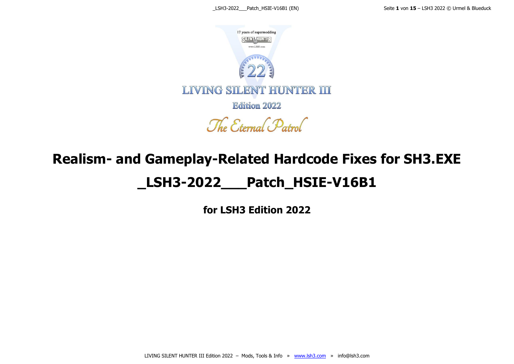

The Eternal Patrol

# **Realism- and Gameplay-Related Hardcode Fixes for SH3.EXE \_LSH3-2022\_\_\_Patch\_HSIE-V16B1**

**for LSH3 Edition 2022**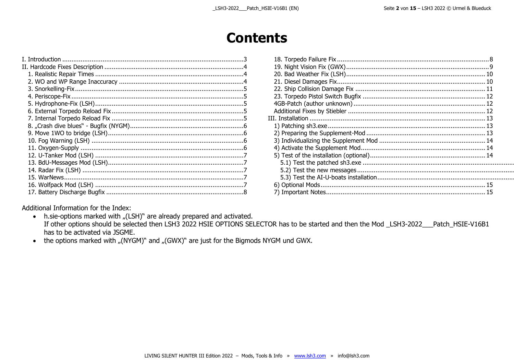. . . . . . . . . . . . . . . . . . . . .

## **Contents**

Additional Information for the Index:

• h.sie-options marked with "(LSH)" are already prepared and activated. If other options should be selected then LSH3 2022 HSIE OPTIONS SELECTOR has to be started and then the Mod \_LSH3-2022\_\_\_Patch\_HSIE-V16B1 has to be activated via JSGME.

• the options marked with "(NYGM)" and "(GWX)" are just for the Bigmods NYGM und GWX.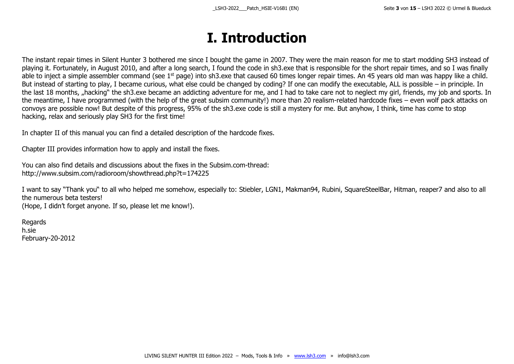# **I. Introduction**

<span id="page-2-0"></span>The instant repair times in Silent Hunter 3 bothered me since I bought the game in 2007. They were the main reason for me to start modding SH3 instead of playing it. Fortunately, in August 2010, and after a long search, I found the code in sh3.exe that is responsible for the short repair times, and so I was finally able to inject a simple assembler command (see  $1<sup>st</sup>$  page) into sh3.exe that caused 60 times longer repair times. An 45 years old man was happy like a child. But instead of starting to play, I became curious, what else could be changed by coding? If one can modify the executable, ALL is possible – in principle. In the last 18 months, "hacking" the sh3.exe became an addicting adventure for me, and I had to take care not to neglect my girl, friends, my job and sports. In the meantime, I have programmed (with the help of the great subsim community!) more than 20 realism-related hardcode fixes – even wolf pack attacks on convoys are possible now! But despite of this progress, 95% of the sh3.exe code is still a mystery for me. But anyhow, I think, time has come to stop hacking, relax and seriously play SH3 for the first time!

In chapter II of this manual you can find a detailed description of the hardcode fixes.

Chapter III provides information how to apply and install the fixes.

You can also find details and discussions about the fixes in the Subsim.com-thread: http://www.subsim.com/radioroom/showthread.php?t=174225

I want to say "Thank you" to all who helped me somehow, especially to: Stiebler, LGN1, Makman94, Rubini, SquareSteelBar, Hitman, reaper7 and also to all the numerous beta testers! (Hope, I didn't forget anyone. If so, please let me know!).

Regards h.sie February-20-2012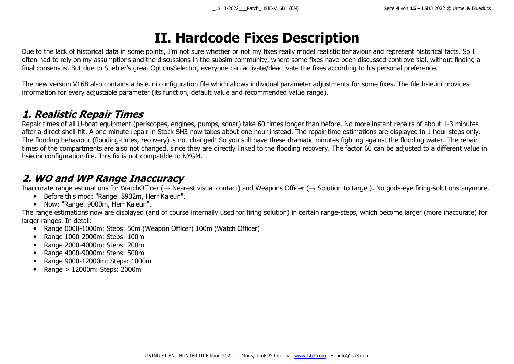# **II. Hardcode Fixes Description**

<span id="page-3-0"></span>Due to the lack of historical data in some points, I'm not sure whether or not my fixes really model realistic behaviour and represent historical facts. So I often had to rely on my assumptions and the discussions in the subsim community, where some fixes have been discussed controversial, without finding a final consensus. But due to Stiebler's great OptionsSelector, everyone can activate/deactivate the fixes according to his personal preference.

The new version V16B also contains a hsie.ini configuration file which allows individual parameter adjustments for some fixes. The file hsie.ini provides information for every adjustable parameter (its function, default value and recommended value range).

#### <span id="page-3-1"></span>**1. Realistic Repair Times**

Repair times of all U-boat equipment (periscopes, engines, pumps, sonar) take 60 times longer than before. No more instant repairs of about 1-3 minutes after a direct shell hit. A one minute repair in Stock SH3 now takes about one hour instead. The repair time estimations are displayed in 1 hour steps only. The flooding behaviour (flooding-times, recovery) is not changed! So you still have these dramatic minutes fighting against the flooding water. The repair times of the compartments are also not changed, since they are directly linked to the flooding recovery. The factor 60 can be adjusted to a different value in hsie.ini configuration file. This fix is not compatible to NYGM.

#### <span id="page-3-2"></span>**2. WO and WP Range Inaccuracy**

Inaccurate range estimations for WatchOfficer ( $\rightarrow$  Nearest visual contact) and Weapons Officer ( $\rightarrow$  Solution to target). No gods-eye firing-solutions anymore.

- Before this mod: "Range: 8932m, Herr Kaleun".
- Now: "Range: 9000m, Herr Kaleun".

The range estimations now are displayed (and of course internally used for firing solution) in certain range-steps, which become larger (more inaccurate) for larger ranges. In detail:

- Range 0000-1000m: Steps: 50m (Weapon Officer) 100m (Watch Officer)
- Range 1000-2000m: Steps: 100m
- Range 2000-4000m: Steps: 200m
- Range 4000-9000m: Steps: 500m
- Range 9000-12000m: Steps: 1000m
- Range > 12000m: Steps: 2000m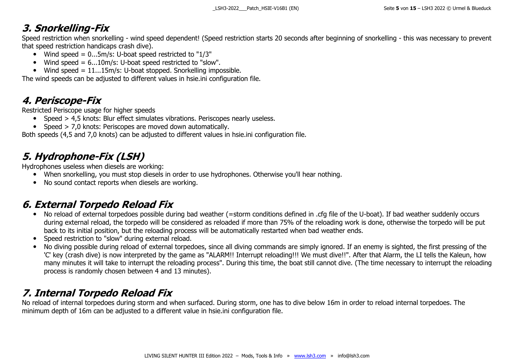#### <span id="page-4-0"></span>**3. Snorkelling-Fix**

Speed restriction when snorkelling - wind speed dependent! (Speed restriction starts 20 seconds after beginning of snorkelling - this was necessary to prevent that speed restriction handicaps crash dive).

- Wind speed =  $0...5m/s$ : U-boat speed restricted to " $1/3$ "
- Wind speed  $= 6...10$ m/s: U-boat speed restricted to "slow".
- Wind speed =  $11...15m/s$ : U-boat stopped. Snorkelling impossible.

The wind speeds can be adjusted to different values in hsie.ini configuration file.

#### <span id="page-4-1"></span>**4. Periscope-Fix**

Restricted Periscope usage for higher speeds

- Speed > 4,5 knots: Blur effect simulates vibrations. Periscopes nearly useless.
- Speed > 7,0 knots: Periscopes are moved down automatically.

Both speeds (4,5 and 7,0 knots) can be adjusted to different values in hsie.ini configuration file.

### <span id="page-4-2"></span>**5. Hydrophone-Fix (LSH)**

Hydrophones useless when diesels are working:

- When snorkelling, you must stop diesels in order to use hydrophones. Otherwise you'll hear nothing.
- No sound contact reports when diesels are working.

#### <span id="page-4-3"></span>**6. External Torpedo Reload Fix**

- No reload of external torpedoes possible during bad weather (=storm conditions defined in .cfg file of the U-boat). If bad weather suddenly occurs during external reload, the torpedo will be considered as reloaded if more than 75% of the reloading work is done, otherwise the torpedo will be put back to its initial position, but the reloading process will be automatically restarted when bad weather ends.
- Speed restriction to "slow" during external reload.
- No diving possible during reload of external torpedoes, since all diving commands are simply ignored. If an enemy is sighted, the first pressing of the 'C' key (crash dive) is now interpreted by the game as "ALARM!! Interrupt reloading!!! We must dive!!". After that Alarm, the LI tells the Kaleun, how many minutes it will take to interrupt the reloading process". During this time, the boat still cannot dive. (The time necessary to interrupt the reloading process is randomly chosen between 4 and 13 minutes).

### <span id="page-4-4"></span>**7. Internal Torpedo Reload Fix**

No reload of internal torpedoes during storm and when surfaced. During storm, one has to dive below 16m in order to reload internal torpedoes. The minimum depth of 16m can be adjusted to a different value in hsie.ini configuration file.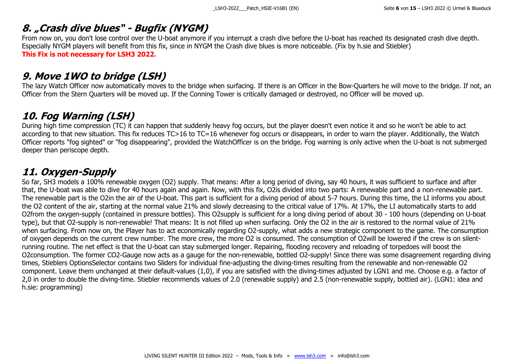#### <span id="page-5-0"></span>**8. "Crash dive blues" - Bugfix (NYGM)**

From now on, you don't lose control over the U-boat anymore if you interrupt a crash dive before the U-boat has reached its designated crash dive depth. Especially NYGM players will benefit from this fix, since in NYGM the Crash dive blues is more noticeable. (Fix by h.sie and Stiebler) **This Fix is not necessary for LSH3 2022.**

#### <span id="page-5-1"></span>**9. Move 1WO to bridge (LSH)**

The lazy Watch Officer now automatically moves to the bridge when surfacing. If there is an Officer in the Bow-Quarters he will move to the bridge. If not, an Officer from the Stern Quarters will be moved up. If the Conning Tower is critically damaged or destroyed, no Officer will be moved up.

#### <span id="page-5-2"></span>**10. Fog Warning (LSH)**

During high time compression (TC) it can happen that suddenly heavy fog occurs, but the player doesn't even notice it and so he won't be able to act according to that new situation. This fix reduces TC>16 to TC=16 whenever fog occurs or disappears, in order to warn the player. Additionally, the Watch Officer reports "fog sighted" or "fog disappearing", provided the WatchOfficer is on the bridge. Fog warning is only active when the U-boat is not submerged deeper than periscope depth.

#### <span id="page-5-3"></span>**11. Oxygen-Supply**

So far, SH3 models a 100% renewable oxygen (O2) supply. That means: After a long period of diving, say 40 hours, it was sufficient to surface and after that, the U-boat was able to dive for 40 hours again and again. Now, with this fix, O2is divided into two parts: A renewable part and a non-renewable part. The renewable part is the O2in the air of the U-boat. This part is sufficient for a diving period of about 5-7 hours. During this time, the LI informs you about the O2 content of the air, starting at the normal value 21% and slowly decreasing to the critical value of 17%. At 17%, the LI automatically starts to add O2from the oxygen-supply (contained in pressure bottles). This O2supply is sufficient for a long diving period of about 30 - 100 hours (depending on U-boat type), but that O2-supply is non-renewable! That means: It is not filled up when surfacing. Only the O2 in the air is restored to the normal value of 21% when surfacing. From now on, the Player has to act economically regarding O2-supply, what adds a new strategic component to the game. The consumption of oxygen depends on the current crew number. The more crew, the more O2 is consumed. The consumption of O2will be lowered if the crew is on silentrunning routine. The net effect is that the U-boat can stay submerged longer. Repairing, flooding recovery and reloading of torpedoes will boost the O2consumption. The former CO2-Gauge now acts as a gauge for the non-renewable, bottled O2-supply! Since there was some disagreement regarding diving times, Stieblers OptionsSelector contains two Sliders for individual fine-adjusting the diving-times resulting from the renewable and non-renewable O2 component. Leave them unchanged at their default-values (1,0), if you are satisfied with the diving-times adjusted by LGN1 and me. Choose e.g. a factor of 2,0 in order to double the diving-time. Stiebler recommends values of 2.0 (renewable supply) and 2.5 (non-renewable supply, bottled air). (LGN1: idea and h.sie: programming)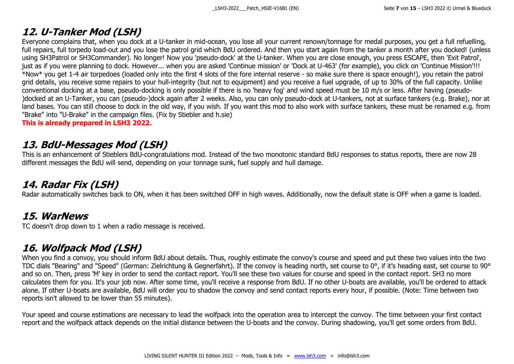#### <span id="page-6-0"></span>**12. U-Tanker Mod (LSH)**

Everyone complains that, when you dock at a U-tanker in mid-ocean, you lose all your current renown/tonnage for medal purposes, you get a full refuelling, full repairs, full torpedo load-out and you lose the patrol grid which BdU ordered. And then you start again from the tanker a month after you docked! (unless using SH3Patrol or SH3Commander). No longer! Now you 'pseudo-dock' at the U-tanker. When you are close enough, you press ESCAPE, then 'Exit Patrol', just as if you were planning to dock. However... when you are asked 'Continue mission' or 'Dock at U-463' (for example), you click on 'Continue Mission'!!! \*Now\* you get 1-4 air torpedoes (loaded only into the first 4 slots of the fore internal reserve - so make sure there is space enough!), you retain the patrol grid details, you receive some repairs to your hull-integrity (but not to equipment) and you receive a fuel upgrade, of up to 30% of the full capacity. Unlike conventional docking at a base, pseudo-docking is only possible if there is no 'heavy fog' and wind speed must be 10 m/s or less. After having (pseudo- )docked at an U-Tanker, you can (pseudo-)dock again after 2 weeks. Also, you can only pseudo-dock at U-tankers, not at surface tankers (e.g. Brake), nor at land bases. You can still choose to dock in the old way, if you wish. If you want this mod to also work with surface tankers, these must be renamed e.g. from "Brake" into "U-Brake" in the campaign files. (Fix by Stiebler and h.sie)

**This is already prepared in LSH3 2022.**

#### <span id="page-6-1"></span>**13. BdU-Messages Mod (LSH)**

This is an enhancement of Stieblers BdU-congratulations mod. Instead of the two monotonic standard BdU responses to status reports, there are now 28 different messages the BdU will send, depending on your tonnage sunk, fuel supply and hull damage.

#### <span id="page-6-2"></span>**14. Radar Fix (LSH)**

Radar automatically switches back to ON, when it has been switched OFF in high waves. Additionally, now the default state is OFF when a game is loaded.

#### <span id="page-6-3"></span>**15. WarNews**

TC doesn't drop down to 1 when a radio message is received.

#### <span id="page-6-4"></span>**16. Wolfpack Mod (LSH)**

When you find a convoy, you should inform BdU about details. Thus, roughly estimate the convoy's course and speed and put these two values into the two TDC dials "Bearing" and "Speed" (German: Zielrichtung & Gegnerfahrt). If the convoy is heading north, set course to 0°, if it's heading east, set course to 90° and so on. Then, press 'M' key in order to send the contact report. You'll see these two values for course and speed in the contact report. SH3 no more calculates them for you. It's your job now. After some time, you'll receive a response from BdU. If no other U-boats are available, you'll be ordered to attack alone. If other U-boats are available, BdU will order you to shadow the convoy and send contact reports every hour, if possible. (Note: Time between two reports isn't allowed to be lower than 55 minutes).

Your speed and course estimations are necessary to lead the wolfpack into the operation area to intercept the convoy. The time between your first contact report and the wolfpack attack depends on the initial distance between the U-boats and the convoy. During shadowing, you'll get some orders from BdU.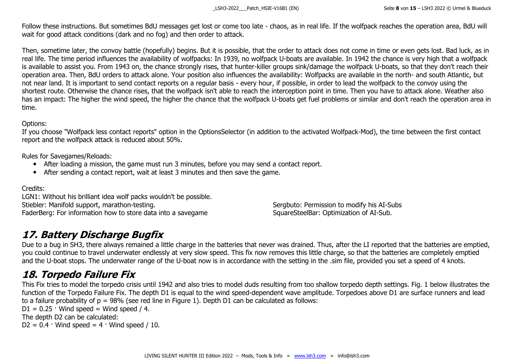Follow these instructions. But sometimes BdU messages get lost or come too late - chaos, as in real life. If the wolfpack reaches the operation area, BdU will wait for good attack conditions (dark and no fog) and then order to attack.

Then, sometime later, the convoy battle (hopefully) begins. But it is possible, that the order to attack does not come in time or even gets lost. Bad luck, as in real life. The time period influences the availability of wolfpacks: In 1939, no wolfpack U-boats are available. In 1942 the chance is very high that a wolfpack is available to assist you. From 1943 on, the chance strongly rises, that hunter-killer groups sink/damage the wolfpack U-boats, so that they don't reach their operation area. Then, BdU orders to attack alone. Your position also influences the availability: Wolfpacks are available in the north- and south Atlantic, but not near land. It is important to send contact reports on a regular basis - every hour, if possible, in order to lead the wolfpack to the convoy using the shortest route. Otherwise the chance rises, that the wolfpack isn't able to reach the interception point in time. Then you have to attack alone. Weather also has an impact: The higher the wind speed, the higher the chance that the wolfpack U-boats get fuel problems or similar and don't reach the operation area in time.

#### Options:

If you choose "Wolfpack less contact reports" option in the OptionsSelector (in addition to the activated Wolfpack-Mod), the time between the first contact report and the wolfpack attack is reduced about 50%.

Rules for Savegames/Reloads:

- After loading a mission, the game must run 3 minutes, before you may send a contact report.
- After sending a contact report, wait at least 3 minutes and then save the game.

Credits:

LGN1: Without his brilliant idea wolf packs wouldn't be possible. Stiebler: Manifold support, marathon-testing. Sergbuto: Permission to modify his AI-Subs FaderBerg: For information how to store data into a savegame SquareSteelBar: Optimization of AI-Sub.

#### <span id="page-7-0"></span>**17. Battery Discharge Bugfix**

Due to a bug in SH3, there always remained a little charge in the batteries that never was drained. Thus, after the LI reported that the batteries are emptied, you could continue to travel underwater endlessly at very slow speed. This fix now removes this little charge, so that the batteries are completely emptied and the U-boat stops. The underwater range of the U-boat now is in accordance with the setting in the .sim file, provided you set a speed of 4 knots.

#### <span id="page-7-1"></span>**18. Torpedo Failure Fix**

This Fix tries to model the torpedo crisis until 1942 and also tries to model duds resulting from too shallow torpedo depth settings. Fig. 1 below illustrates the function of the Torpedo Failure Fix. The depth D1 is equal to the wind speed-dependent wave amplitude. Torpedoes above D1 are surface runners and lead to a failure probability of  $p = 98\%$  (see red line in Figure 1). Depth D1 can be calculated as follows:

 $D1 = 0.25 \cdot$  Wind speed = Wind speed / 4.

The depth D2 can be calculated:

 $D2 = 0.4 \cdot$  Wind speed = 4  $\cdot$  Wind speed / 10.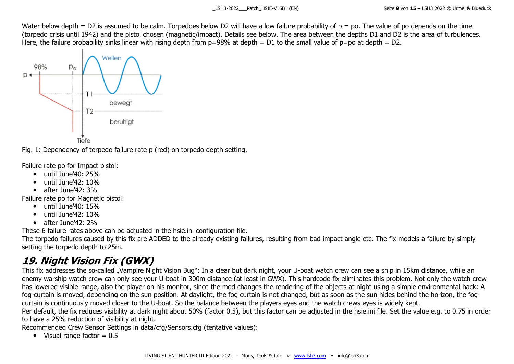Water below depth = D2 is assumed to be calm. Torpedoes below D2 will have a low failure probability of  $p = po$ . The value of po depends on the time (torpedo crisis until 1942) and the pistol chosen (magnetic/impact). Details see below. The area between the depths D1 and D2 is the area of turbulences. Here, the failure probability sinks linear with rising depth from  $p=98%$  at depth = D1 to the small value of  $p=$ po at depth = D2.



Fig. 1: Dependency of torpedo failure rate p (red) on torpedo depth setting.

Failure rate po for Impact pistol:

- until June'40: 25%
- until June'42: 10%
- $\bullet$  after June'42: 3%

Failure rate po for Magnetic pistol:

- $\bullet$  until June'40: 15%
- until June'42: 10%
- $\bullet$  after  $\text{lune}'42:2\%$

These 6 failure rates above can be adjusted in the hsie.ini configuration file.

The torpedo failures caused by this fix are ADDED to the already existing failures, resulting from bad impact angle etc. The fix models a failure by simply setting the torpedo depth to 25m.

### <span id="page-8-0"></span>**19. Night Vision Fix (GWX)**

This fix addresses the so-called "Vampire Night Vision Bug": In a clear but dark night, your U-boat watch crew can see a ship in 15km distance, while an enemy warship watch crew can only see your U-boat in 300m distance (at least in GWX). This hardcode fix eliminates this problem. Not only the watch crew has lowered visible range, also the player on his monitor, since the mod changes the rendering of the objects at night using a simple environmental hack: A fog-curtain is moved, depending on the sun position. At daylight, the fog curtain is not changed, but as soon as the sun hides behind the horizon, the fogcurtain is continuously moved closer to the U-boat. So the balance between the players eyes and the watch crews eyes is widely kept.

Per default, the fix reduces visibility at dark night about 50% (factor 0.5), but this factor can be adjusted in the hsie ini file. Set the value e.g. to 0.75 in order to have a 25% reduction of visibility at night.

Recommended Crew Sensor Settings in data/cfg/Sensors.cfg (tentative values):

 $\bullet$  Visual range factor = 0.5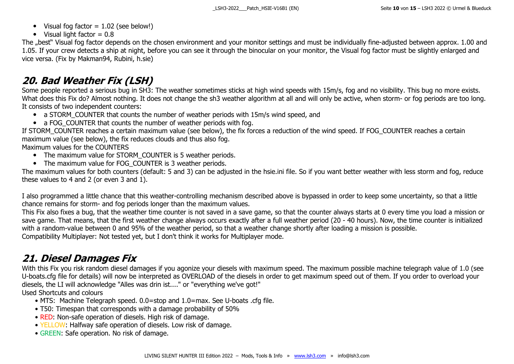- Visual fog factor  $= 1.02$  (see below!)
- $\bullet$  Visual light factor = 0.8

The "best" Visual fog factor depends on the chosen environment and your monitor settings and must be individually fine-adjusted between approx. 1.00 and 1.05. If your crew detects a ship at night, before you can see it through the binocular on your monitor, the Visual fog factor must be slightly enlarged and vice versa. (Fix by Makman94, Rubini, h.sie)

#### <span id="page-9-0"></span>**20. Bad Weather Fix (LSH)**

Some people reported a serious bug in SH3: The weather sometimes sticks at high wind speeds with 15m/s, fog and no visibility. This bug no more exists. What does this Fix do? Almost nothing. It does not change the sh3 weather algorithm at all and will only be active, when storm- or fog periods are too long. It consists of two independent counters:

- a STORM\_COUNTER that counts the number of weather periods with 15m/s wind speed, and
- a FOG COUNTER that counts the number of weather periods with fog.

If STORM\_COUNTER reaches a certain maximum value (see below), the fix forces a reduction of the wind speed. If FOG\_COUNTER reaches a certain maximum value (see below), the fix reduces clouds and thus also fog.

Maximum values for the COUNTERS

- The maximum value for STORM COUNTER is 5 weather periods.
- The maximum value for FOG COUNTER is 3 weather periods.

The maximum values for both counters (default: 5 and 3) can be adjusted in the hsie.ini file. So if you want better weather with less storm and fog, reduce these values to 4 and 2 (or even 3 and 1).

I also programmed a little chance that this weather-controlling mechanism described above is bypassed in order to keep some uncertainty, so that a little chance remains for storm- and fog periods longer than the maximum values.

This Fix also fixes a bug, that the weather time counter is not saved in a save game, so that the counter always starts at 0 every time you load a mission or save game. That means, that the first weather change always occurs exactly after a full weather period (20 - 40 hours). Now, the time counter is initialized with a random-value between 0 and 95% of the weather period, so that a weather change shortly after loading a mission is possible. Compatibility Multiplayer: Not tested yet, but I don't think it works for Multiplayer mode.

#### <span id="page-9-1"></span>**21. Diesel Damages Fix**

With this Fix you risk random diesel damages if you agonize your diesels with maximum speed. The maximum possible machine telegraph value of 1.0 (see U-boats.cfg file for details) will now be interpreted as OVERLOAD of the diesels in order to get maximum speed out of them. If you order to overload your diesels, the LI will acknowledge "Alles was drin ist...." or "everything we've got!" Used Shortcuts and colours

- MTS: Machine Telegraph speed. 0.0=stop and 1.0=max. See U-boats .cfg file.
- T50: Timespan that corresponds with a damage probability of 50%
- RED: Non-safe operation of diesels. High risk of damage.
- YELLOW: Halfway safe operation of diesels. Low risk of damage.
- GREEN: Safe operation. No risk of damage.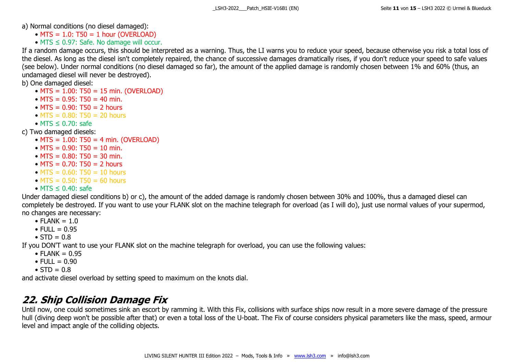a) Normal conditions (no diesel damaged):

- $\bullet$  MTS = 1.0: T50 = 1 hour (OVERLOAD)
- MTS  $\leq$  0.97: Safe. No damage will occur.

If a random damage occurs, this should be interpreted as a warning. Thus, the LI warns you to reduce your speed, because otherwise you risk a total loss of the diesel. As long as the diesel isn't completely repaired, the chance of successive damages dramatically rises, if you don't reduce your speed to safe values (see below). Under normal conditions (no diesel damaged so far), the amount of the applied damage is randomly chosen between 1% and 60% (thus, an undamaged diesel will never be destroyed).

b) One damaged diesel:

- MTS = 1.00: T50 = 15 min. (OVERLOAD)
- MTS =  $0.95$ : T50 = 40 min.
- $MTS = 0.90$ : T50 = 2 hours
- $MTS = 0.80$ : T50 = 20 hours
- MTS ≤ 0.70: safe

c) Two damaged diesels:

- MTS =  $1.00$ : T50 = 4 min. (OVERLOAD)
- MTS =  $0.90$ : T50 = 10 min.
- MTS =  $0.80$ : T50 = 30 min.
- $MTS = 0.70$ : T50 = 2 hours
- $MTS = 0.60$ : T50 = 10 hours
- $MTS = 0.50$ : T50 = 60 hours
- MTS ≤ 0.40: safe

Under damaged diesel conditions b) or c), the amount of the added damage is randomly chosen between 30% and 100%, thus a damaged diesel can completely be destroyed. If you want to use your FLANK slot on the machine telegraph for overload (as I will do), just use normal values of your supermod, no changes are necessary:

- FLANK  $= 1.0$
- $F[1] = 0.95$
- $STD = 0.8$

If you DON'T want to use your FLANK slot on the machine telegraph for overload, you can use the following values:

- FLANK  $= 0.95$
- FULL  $= 0.90$
- $STD = 0.8$

and activate diesel overload by setting speed to maximum on the knots dial.

#### <span id="page-10-0"></span>**22. Ship Collision Damage Fix**

Until now, one could sometimes sink an escort by ramming it. With this Fix, collisions with surface ships now result in a more severe damage of the pressure hull (diving deep won't be possible after that) or even a total loss of the U-boat. The Fix of course considers physical parameters like the mass, speed, armour level and impact angle of the colliding objects.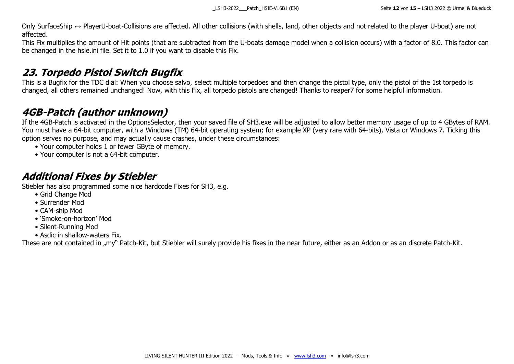Only SurfaceShip ↔ PlayerU-boat-Collisions are affected. All other collisions (with shells, land, other objects and not related to the player U-boat) are not affected.

This Fix multiplies the amount of Hit points (that are subtracted from the U-boats damage model when a collision occurs) with a factor of 8.0. This factor can be changed in the hsie.ini file. Set it to 1.0 if you want to disable this Fix.

#### <span id="page-11-0"></span>**23. Torpedo Pistol Switch Bugfix**

This is a Bugfix for the TDC dial: When you choose salvo, select multiple torpedoes and then change the pistol type, only the pistol of the 1st torpedo is changed, all others remained unchanged! Now, with this Fix, all torpedo pistols are changed! Thanks to reaper7 for some helpful information.

#### <span id="page-11-1"></span>**4GB-Patch (author unknown)**

If the 4GB-Patch is activated in the OptionsSelector, then your saved file of SH3.exe will be adjusted to allow better memory usage of up to 4 GBytes of RAM. You must have a 64-bit computer, with a Windows (TM) 64-bit operating system; for example XP (very rare with 64-bits), Vista or Windows 7. Ticking this option serves no purpose, and may actually cause crashes, under these circumstances:

- Your computer holds 1 or fewer GByte of memory.
- Your computer is not a 64-bit computer.

#### <span id="page-11-2"></span>**Additional Fixes by Stiebler**

Stiebler has also programmed some nice hardcode Fixes for SH3, e.g.

- Grid Change Mod
- Surrender Mod
- CAM-ship Mod
- 'Smoke-on-horizon' Mod
- Silent-Running Mod
- Asdic in shallow-waters Fix.

These are not contained in "my" Patch-Kit, but Stiebler will surely provide his fixes in the near future, either as an Addon or as an discrete Patch-Kit.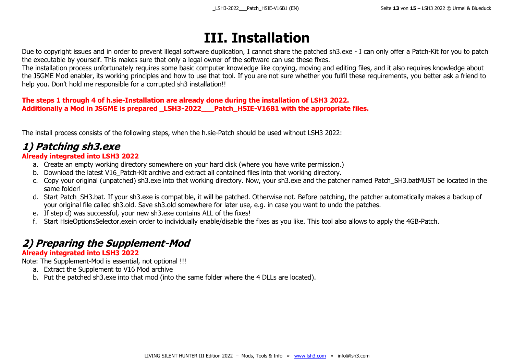# **III. Installation**

<span id="page-12-0"></span>Due to copyright issues and in order to prevent illegal software duplication, I cannot share the patched sh3.exe - I can only offer a Patch-Kit for you to patch the executable by yourself. This makes sure that only a legal owner of the software can use these fixes.

The installation process unfortunately requires some basic computer knowledge like copying, moving and editing files, and it also requires knowledge about the JSGME Mod enabler, its working principles and how to use that tool. If you are not sure whether you fulfil these requirements, you better ask a friend to help you. Don't hold me responsible for a corrupted sh3 installation!!

#### **The steps 1 through 4 of h.sie-Installation are already done during the installation of LSH3 2022. Additionally a Mod in JSGME is prepared \_LSH3-2022\_\_\_Patch\_HSIE-V16B1 with the appropriate files.**

The install process consists of the following steps, when the h.sie-Patch should be used without LSH3 2022:

### <span id="page-12-1"></span>**1) Patching sh3.exe**

#### **Already integrated into LSH3 2022**

- a. Create an empty working directory somewhere on your hard disk (where you have write permission.)
- b. Download the latest V16 Patch-Kit archive and extract all contained files into that working directory.
- c. Copy your original (unpatched) sh3.exe into that working directory. Now, your sh3.exe and the patcher named Patch\_SH3.batMUST be located in the same folder!
- d. Start Patch SH3.bat. If your sh3.exe is compatible, it will be patched. Otherwise not. Before patching, the patcher automatically makes a backup of your original file called sh3.old. Save sh3.old somewhere for later use, e.g. in case you want to undo the patches.
- e. If step d) was successful, your new sh3.exe contains ALL of the fixes!
- f. Start HsieOptionsSelector.exein order to individually enable/disable the fixes as you like. This tool also allows to apply the 4GB-Patch.

### <span id="page-12-2"></span>**2) Preparing the Supplement-Mod**

#### **Already integrated into LSH3 2022**

Note: The Supplement-Mod is essential, not optional !!!

- a. Extract the Supplement to V16 Mod archive
- b. Put the patched sh3.exe into that mod (into the same folder where the 4 DLLs are located).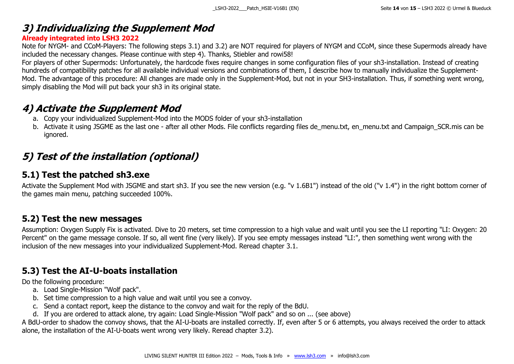#### <span id="page-13-0"></span>**3) Individualizing the Supplement Mod**

#### **Already integrated into LSH3 2022**

Note for NYGM- and CCoM-Players: The following steps 3.1) and 3.2) are NOT required for players of NYGM and CCoM, since these Supermods already have included the necessary changes. Please continue with step 4). Thanks, Stiebler and rowi58!

For players of other Supermods: Unfortunately, the hardcode fixes require changes in some configuration files of your sh3-installation. Instead of creating hundreds of compatibility patches for all available individual versions and combinations of them, I describe how to manually individualize the Supplement-Mod. The advantage of this procedure: All changes are made only in the Supplement-Mod, but not in your SH3-installation. Thus, if something went wrong, simply disabling the Mod will put back your sh3 in its original state.

#### <span id="page-13-1"></span>**4) Activate the Supplement Mod**

- a. Copy your individualized Supplement-Mod into the MODS folder of your sh3-installation
- b. Activate it using JSGME as the last one after all other Mods. File conflicts regarding files de menu.txt, en menu.txt and Campaign SCR.mis can be ignored.

### <span id="page-13-2"></span>**5) Test of the installation (optional)**

#### <span id="page-13-3"></span>**5.1) Test the patched sh3.exe**

Activate the Supplement Mod with JSGME and start sh3. If you see the new version (e.g. "v 1.6B1") instead of the old ("v 1.4") in the right bottom corner of the games main menu, patching succeeded 100%.

#### <span id="page-13-4"></span>**5.2) Test the new messages**

Assumption: Oxygen Supply Fix is activated. Dive to 20 meters, set time compression to a high value and wait until you see the LI reporting "LI: Oxygen: 20 Percent" on the game message console. If so, all went fine (very likely). If you see empty messages instead "LI:", then something went wrong with the inclusion of the new messages into your individualized Supplement-Mod. Reread chapter 3.1.

#### <span id="page-13-5"></span>**5.3) Test the AI-U-boats installation**

Do the following procedure:

- a. Load Single-Mission "Wolf pack".
- b. Set time compression to a high value and wait until you see a convoy.
- c. Send a contact report, keep the distance to the convoy and wait for the reply of the BdU.
- d. If you are ordered to attack alone, try again: Load Single-Mission "Wolf pack" and so on ... (see above)

A BdU-order to shadow the convoy shows, that the AI-U-boats are installed correctly. If, even after 5 or 6 attempts, you always received the order to attack alone, the installation of the AI-U-boats went wrong very likely. Reread chapter 3.2).